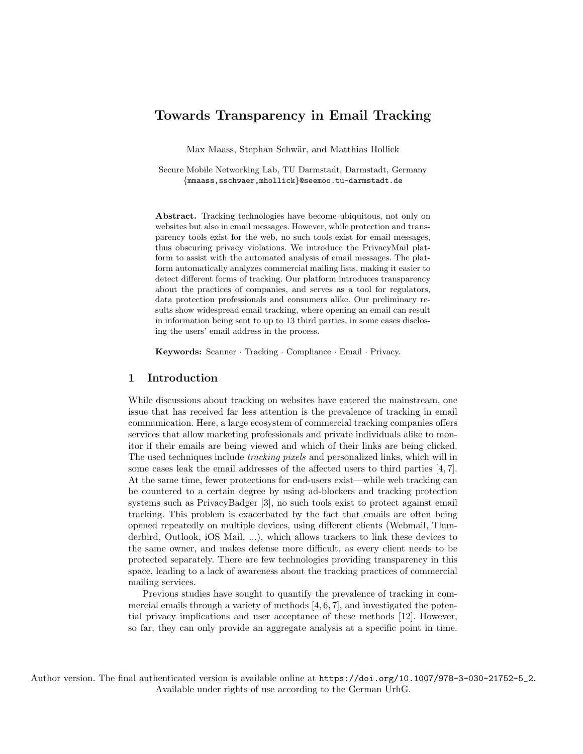# Towards Transparency in Email Tracking

Max Maass, Stephan Schwär, and Matthias Hollick

Secure Mobile Networking Lab, TU Darmstadt, Darmstadt, Germany {mmaass,sschwaer,mhollick}@seemoo.tu-darmstadt.de

Abstract. Tracking technologies have become ubiquitous, not only on websites but also in email messages. However, while protection and transparency tools exist for the web, no such tools exist for email messages, thus obscuring privacy violations. We introduce the PrivacyMail platform to assist with the automated analysis of email messages. The platform automatically analyzes commercial mailing lists, making it easier to detect different forms of tracking. Our platform introduces transparency about the practices of companies, and serves as a tool for regulators, data protection professionals and consumers alike. Our preliminary results show widespread email tracking, where opening an email can result in information being sent to up to 13 third parties, in some cases disclosing the users' email address in the process.

Keywords: Scanner · Tracking · Compliance · Email · Privacy.

### 1 Introduction

While discussions about tracking on websites have entered the mainstream, one issue that has received far less attention is the prevalence of tracking in email communication. Here, a large ecosystem of commercial tracking companies offers services that allow marketing professionals and private individuals alike to monitor if their emails are being viewed and which of their links are being clicked. The used techniques include tracking pixels and personalized links, which will in some cases leak the email addresses of the affected users to third parties [4, 7]. At the same time, fewer protections for end-users exist—while web tracking can be countered to a certain degree by using ad-blockers and tracking protection systems such as PrivacyBadger [3], no such tools exist to protect against email tracking. This problem is exacerbated by the fact that emails are often being opened repeatedly on multiple devices, using different clients (Webmail, Thunderbird, Outlook, iOS Mail, ...), which allows trackers to link these devices to the same owner, and makes defense more difficult, as every client needs to be protected separately. There are few technologies providing transparency in this space, leading to a lack of awareness about the tracking practices of commercial mailing services.

Previous studies have sought to quantify the prevalence of tracking in commercial emails through a variety of methods  $[4, 6, 7]$ , and investigated the potential privacy implications and user acceptance of these methods [12]. However, so far, they can only provide an aggregate analysis at a specific point in time.

Author version. The final authenticated version is available online at https://doi.org/10.1007/978-3-030-21752-5\_2. Available under rights of use according to the German UrhG.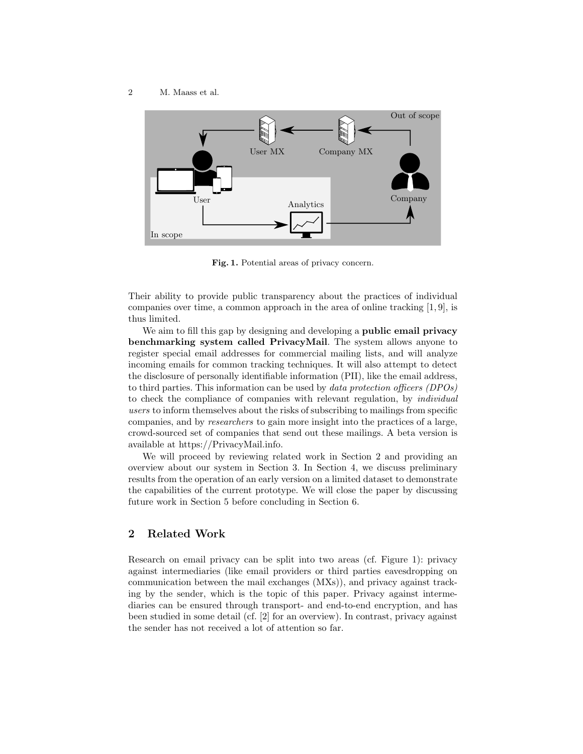

Fig. 1. Potential areas of privacy concern.

Their ability to provide public transparency about the practices of individual companies over time, a common approach in the area of online tracking [1, 9], is thus limited.

We aim to fill this gap by designing and developing a **public email privacy** benchmarking system called PrivacyMail. The system allows anyone to register special email addresses for commercial mailing lists, and will analyze incoming emails for common tracking techniques. It will also attempt to detect the disclosure of personally identifiable information (PII), like the email address, to third parties. This information can be used by data protection officers (DPOs) to check the compliance of companies with relevant regulation, by individual users to inform themselves about the risks of subscribing to mailings from specific companies, and by researchers to gain more insight into the practices of a large, crowd-sourced set of companies that send out these mailings. A beta version is available at https://PrivacyMail.info.

We will proceed by reviewing related work in Section 2 and providing an overview about our system in Section 3. In Section 4, we discuss preliminary results from the operation of an early version on a limited dataset to demonstrate the capabilities of the current prototype. We will close the paper by discussing future work in Section 5 before concluding in Section 6.

# 2 Related Work

Research on email privacy can be split into two areas (cf. Figure 1): privacy against intermediaries (like email providers or third parties eavesdropping on communication between the mail exchanges (MXs)), and privacy against tracking by the sender, which is the topic of this paper. Privacy against intermediaries can be ensured through transport- and end-to-end encryption, and has been studied in some detail (cf. [2] for an overview). In contrast, privacy against the sender has not received a lot of attention so far.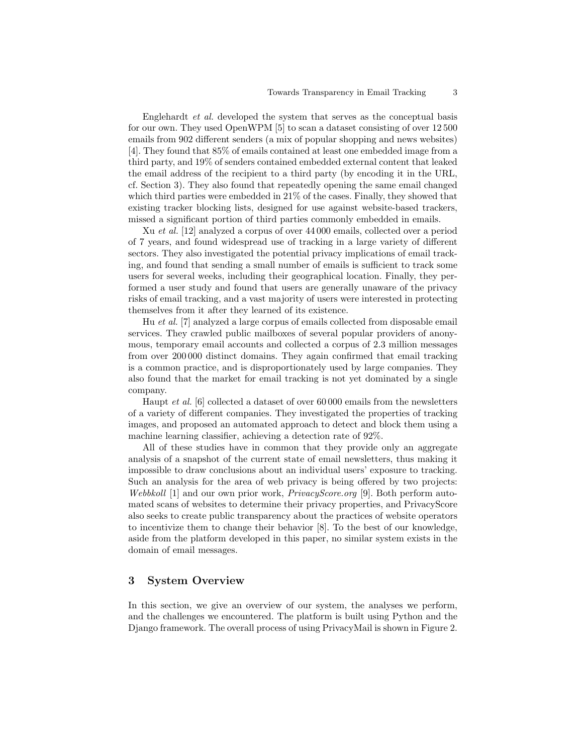Englehardt et al. developed the system that serves as the conceptual basis for our own. They used OpenWPM [5] to scan a dataset consisting of over 12 500 emails from 902 different senders (a mix of popular shopping and news websites) [4]. They found that 85% of emails contained at least one embedded image from a third party, and 19% of senders contained embedded external content that leaked the email address of the recipient to a third party (by encoding it in the URL, cf. Section 3). They also found that repeatedly opening the same email changed which third parties were embedded in 21% of the cases. Finally, they showed that existing tracker blocking lists, designed for use against website-based trackers, missed a significant portion of third parties commonly embedded in emails.

Xu et al. [12] analyzed a corpus of over 44 000 emails, collected over a period of 7 years, and found widespread use of tracking in a large variety of different sectors. They also investigated the potential privacy implications of email tracking, and found that sending a small number of emails is sufficient to track some users for several weeks, including their geographical location. Finally, they performed a user study and found that users are generally unaware of the privacy risks of email tracking, and a vast majority of users were interested in protecting themselves from it after they learned of its existence.

Hu et al. [7] analyzed a large corpus of emails collected from disposable email services. They crawled public mailboxes of several popular providers of anonymous, temporary email accounts and collected a corpus of 2.3 million messages from over 200 000 distinct domains. They again confirmed that email tracking is a common practice, and is disproportionately used by large companies. They also found that the market for email tracking is not yet dominated by a single company.

Haupt et al. [6] collected a dataset of over 60 000 emails from the newsletters of a variety of different companies. They investigated the properties of tracking images, and proposed an automated approach to detect and block them using a machine learning classifier, achieving a detection rate of 92%.

All of these studies have in common that they provide only an aggregate analysis of a snapshot of the current state of email newsletters, thus making it impossible to draw conclusions about an individual users' exposure to tracking. Such an analysis for the area of web privacy is being offered by two projects: Webbkoll [1] and our own prior work, *PrivacyScore.org* [9]. Both perform automated scans of websites to determine their privacy properties, and PrivacyScore also seeks to create public transparency about the practices of website operators to incentivize them to change their behavior [8]. To the best of our knowledge, aside from the platform developed in this paper, no similar system exists in the domain of email messages.

# 3 System Overview

In this section, we give an overview of our system, the analyses we perform, and the challenges we encountered. The platform is built using Python and the Django framework. The overall process of using PrivacyMail is shown in Figure 2.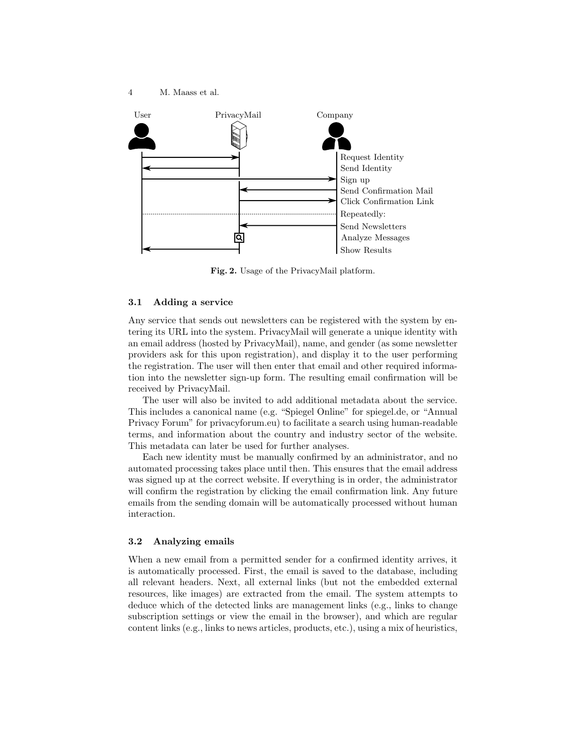

Fig. 2. Usage of the PrivacyMail platform.

### 3.1 Adding a service

Any service that sends out newsletters can be registered with the system by entering its URL into the system. PrivacyMail will generate a unique identity with an email address (hosted by PrivacyMail), name, and gender (as some newsletter providers ask for this upon registration), and display it to the user performing the registration. The user will then enter that email and other required information into the newsletter sign-up form. The resulting email confirmation will be received by PrivacyMail.

The user will also be invited to add additional metadata about the service. This includes a canonical name (e.g. "Spiegel Online" for spiegel.de, or "Annual Privacy Forum" for privacyforum.eu) to facilitate a search using human-readable terms, and information about the country and industry sector of the website. This metadata can later be used for further analyses.

Each new identity must be manually confirmed by an administrator, and no automated processing takes place until then. This ensures that the email address was signed up at the correct website. If everything is in order, the administrator will confirm the registration by clicking the email confirmation link. Any future emails from the sending domain will be automatically processed without human interaction.

#### 3.2 Analyzing emails

When a new email from a permitted sender for a confirmed identity arrives, it is automatically processed. First, the email is saved to the database, including all relevant headers. Next, all external links (but not the embedded external resources, like images) are extracted from the email. The system attempts to deduce which of the detected links are management links (e.g., links to change subscription settings or view the email in the browser), and which are regular content links (e.g., links to news articles, products, etc.), using a mix of heuristics,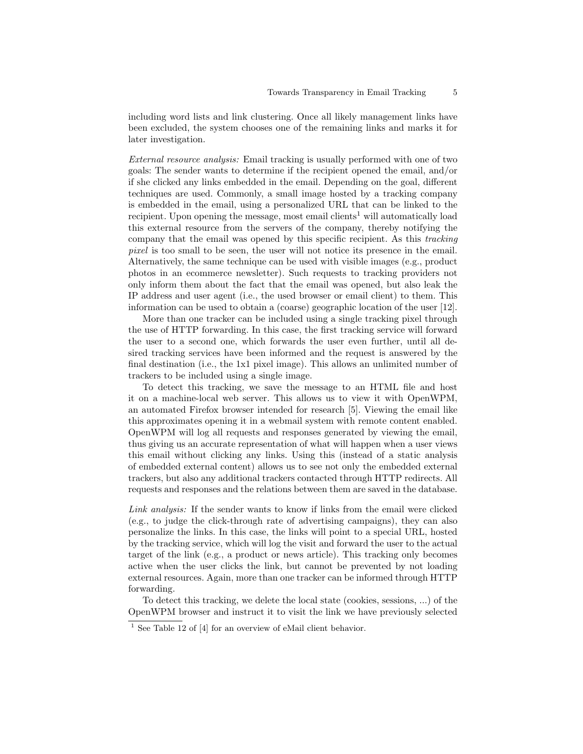including word lists and link clustering. Once all likely management links have been excluded, the system chooses one of the remaining links and marks it for later investigation.

External resource analysis: Email tracking is usually performed with one of two goals: The sender wants to determine if the recipient opened the email, and/or if she clicked any links embedded in the email. Depending on the goal, different techniques are used. Commonly, a small image hosted by a tracking company is embedded in the email, using a personalized URL that can be linked to the recipient. Upon opening the message, most email clients<sup>1</sup> will automatically load this external resource from the servers of the company, thereby notifying the company that the email was opened by this specific recipient. As this tracking pixel is too small to be seen, the user will not notice its presence in the email. Alternatively, the same technique can be used with visible images (e.g., product photos in an ecommerce newsletter). Such requests to tracking providers not only inform them about the fact that the email was opened, but also leak the IP address and user agent (i.e., the used browser or email client) to them. This information can be used to obtain a (coarse) geographic location of the user [12].

More than one tracker can be included using a single tracking pixel through the use of HTTP forwarding. In this case, the first tracking service will forward the user to a second one, which forwards the user even further, until all desired tracking services have been informed and the request is answered by the final destination (i.e., the 1x1 pixel image). This allows an unlimited number of trackers to be included using a single image.

To detect this tracking, we save the message to an HTML file and host it on a machine-local web server. This allows us to view it with OpenWPM, an automated Firefox browser intended for research [5]. Viewing the email like this approximates opening it in a webmail system with remote content enabled. OpenWPM will log all requests and responses generated by viewing the email, thus giving us an accurate representation of what will happen when a user views this email without clicking any links. Using this (instead of a static analysis of embedded external content) allows us to see not only the embedded external trackers, but also any additional trackers contacted through HTTP redirects. All requests and responses and the relations between them are saved in the database.

Link analysis: If the sender wants to know if links from the email were clicked (e.g., to judge the click-through rate of advertising campaigns), they can also personalize the links. In this case, the links will point to a special URL, hosted by the tracking service, which will log the visit and forward the user to the actual target of the link (e.g., a product or news article). This tracking only becomes active when the user clicks the link, but cannot be prevented by not loading external resources. Again, more than one tracker can be informed through HTTP forwarding.

To detect this tracking, we delete the local state (cookies, sessions, ...) of the OpenWPM browser and instruct it to visit the link we have previously selected

 $1$  See Table 12 of [4] for an overview of eMail client behavior.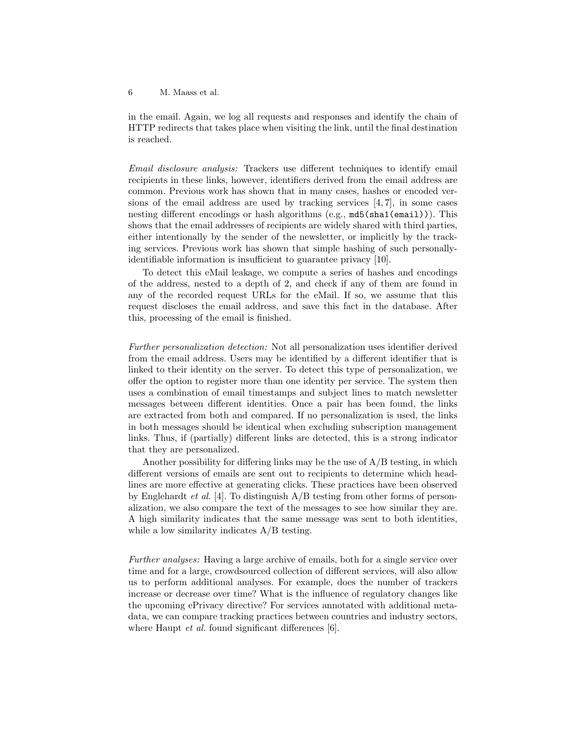6 M. Maass et al.

in the email. Again, we log all requests and responses and identify the chain of HTTP redirects that takes place when visiting the link, until the final destination is reached.

Email disclosure analysis: Trackers use different techniques to identify email recipients in these links, however, identifiers derived from the email address are common. Previous work has shown that in many cases, hashes or encoded versions of the email address are used by tracking services [4, 7], in some cases nesting different encodings or hash algorithms (e.g., md5(sha1(email))). This shows that the email addresses of recipients are widely shared with third parties, either intentionally by the sender of the newsletter, or implicitly by the tracking services. Previous work has shown that simple hashing of such personallyidentifiable information is insufficient to guarantee privacy [10].

To detect this eMail leakage, we compute a series of hashes and encodings of the address, nested to a depth of 2, and check if any of them are found in any of the recorded request URLs for the eMail. If so, we assume that this request discloses the email address, and save this fact in the database. After this, processing of the email is finished.

Further personalization detection: Not all personalization uses identifier derived from the email address. Users may be identified by a different identifier that is linked to their identity on the server. To detect this type of personalization, we offer the option to register more than one identity per service. The system then uses a combination of email timestamps and subject lines to match newsletter messages between different identities. Once a pair has been found, the links are extracted from both and compared. If no personalization is used, the links in both messages should be identical when excluding subscription management links. Thus, if (partially) different links are detected, this is a strong indicator that they are personalized.

Another possibility for differing links may be the use of  $A/B$  testing, in which different versions of emails are sent out to recipients to determine which headlines are more effective at generating clicks. These practices have been observed by Englehardt et al. [4]. To distinguish  $A/B$  testing from other forms of personalization, we also compare the text of the messages to see how similar they are. A high similarity indicates that the same message was sent to both identities, while a low similarity indicates  $A/B$  testing.

Further analyses: Having a large archive of emails, both for a single service over time and for a large, crowdsourced collection of different services, will also allow us to perform additional analyses. For example, does the number of trackers increase or decrease over time? What is the influence of regulatory changes like the upcoming ePrivacy directive? For services annotated with additional metadata, we can compare tracking practices between countries and industry sectors, where Haupt *et al.* found significant differences [6].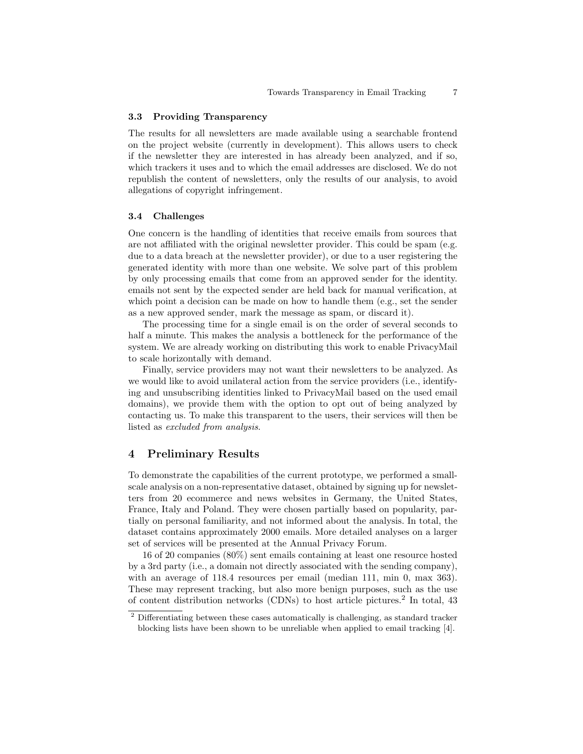#### 3.3 Providing Transparency

The results for all newsletters are made available using a searchable frontend on the project website (currently in development). This allows users to check if the newsletter they are interested in has already been analyzed, and if so, which trackers it uses and to which the email addresses are disclosed. We do not republish the content of newsletters, only the results of our analysis, to avoid allegations of copyright infringement.

#### 3.4 Challenges

One concern is the handling of identities that receive emails from sources that are not affiliated with the original newsletter provider. This could be spam (e.g. due to a data breach at the newsletter provider), or due to a user registering the generated identity with more than one website. We solve part of this problem by only processing emails that come from an approved sender for the identity. emails not sent by the expected sender are held back for manual verification, at which point a decision can be made on how to handle them (e.g., set the sender as a new approved sender, mark the message as spam, or discard it).

The processing time for a single email is on the order of several seconds to half a minute. This makes the analysis a bottleneck for the performance of the system. We are already working on distributing this work to enable PrivacyMail to scale horizontally with demand.

Finally, service providers may not want their newsletters to be analyzed. As we would like to avoid unilateral action from the service providers (i.e., identifying and unsubscribing identities linked to PrivacyMail based on the used email domains), we provide them with the option to opt out of being analyzed by contacting us. To make this transparent to the users, their services will then be listed as excluded from analysis.

### 4 Preliminary Results

To demonstrate the capabilities of the current prototype, we performed a smallscale analysis on a non-representative dataset, obtained by signing up for newsletters from 20 ecommerce and news websites in Germany, the United States, France, Italy and Poland. They were chosen partially based on popularity, partially on personal familiarity, and not informed about the analysis. In total, the dataset contains approximately 2000 emails. More detailed analyses on a larger set of services will be presented at the Annual Privacy Forum.

16 of 20 companies (80%) sent emails containing at least one resource hosted by a 3rd party (i.e., a domain not directly associated with the sending company), with an average of 118.4 resources per email (median 111, min 0, max 363). These may represent tracking, but also more benign purposes, such as the use of content distribution networks (CDNs) to host article pictures.<sup>2</sup> In total, 43

<sup>&</sup>lt;sup>2</sup> Differentiating between these cases automatically is challenging, as standard tracker blocking lists have been shown to be unreliable when applied to email tracking [4].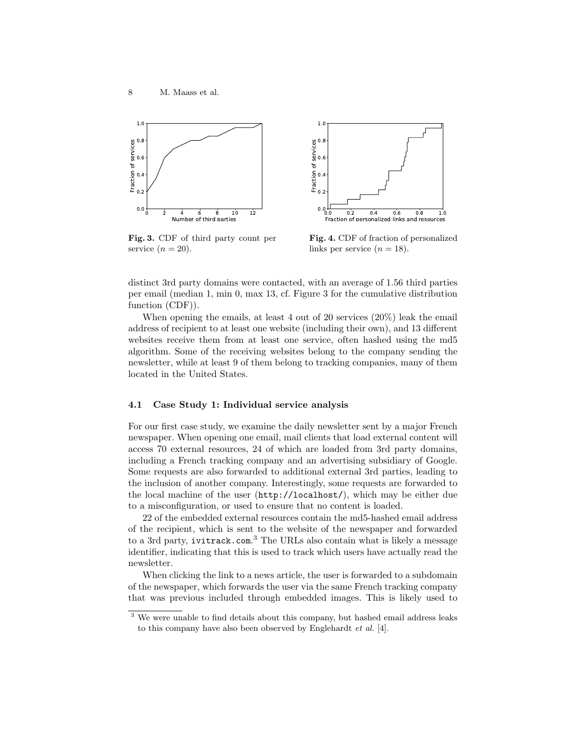

Fig. 3. CDF of third party count per service  $(n = 20)$ .



Fig. 4. CDF of fraction of personalized links per service  $(n = 18)$ .

distinct 3rd party domains were contacted, with an average of 1.56 third parties per email (median 1, min 0, max 13, cf. Figure 3 for the cumulative distribution function  $(CDF)$ ).

When opening the emails, at least 4 out of 20 services (20%) leak the email address of recipient to at least one website (including their own), and 13 different websites receive them from at least one service, often hashed using the md5 algorithm. Some of the receiving websites belong to the company sending the newsletter, while at least 9 of them belong to tracking companies, many of them located in the United States.

#### 4.1 Case Study 1: Individual service analysis

For our first case study, we examine the daily newsletter sent by a major French newspaper. When opening one email, mail clients that load external content will access 70 external resources, 24 of which are loaded from 3rd party domains, including a French tracking company and an advertising subsidiary of Google. Some requests are also forwarded to additional external 3rd parties, leading to the inclusion of another company. Interestingly, some requests are forwarded to the local machine of the user (http://localhost/), which may be either due to a misconfiguration, or used to ensure that no content is loaded.

22 of the embedded external resources contain the md5-hashed email address of the recipient, which is sent to the website of the newspaper and forwarded to a 3rd party, ivitrack.com. <sup>3</sup> The URLs also contain what is likely a message identifier, indicating that this is used to track which users have actually read the newsletter.

When clicking the link to a news article, the user is forwarded to a subdomain of the newspaper, which forwards the user via the same French tracking company that was previous included through embedded images. This is likely used to

<sup>&</sup>lt;sup>3</sup> We were unable to find details about this company, but hashed email address leaks to this company have also been observed by Englehardt et al. [4].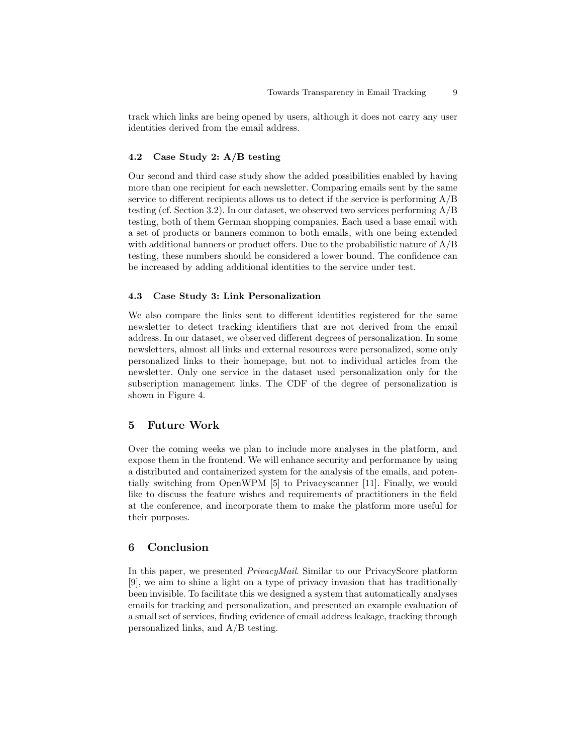track which links are being opened by users, although it does not carry any user identities derived from the email address.

## 4.2 Case Study 2: A/B testing

Our second and third case study show the added possibilities enabled by having more than one recipient for each newsletter. Comparing emails sent by the same service to different recipients allows us to detect if the service is performing  $A/B$ testing (cf. Section 3.2). In our dataset, we observed two services performing  $A/B$ testing, both of them German shopping companies. Each used a base email with a set of products or banners common to both emails, with one being extended with additional banners or product offers. Due to the probabilistic nature of  $A/B$ testing, these numbers should be considered a lower bound. The confidence can be increased by adding additional identities to the service under test.

#### 4.3 Case Study 3: Link Personalization

We also compare the links sent to different identities registered for the same newsletter to detect tracking identifiers that are not derived from the email address. In our dataset, we observed different degrees of personalization. In some newsletters, almost all links and external resources were personalized, some only personalized links to their homepage, but not to individual articles from the newsletter. Only one service in the dataset used personalization only for the subscription management links. The CDF of the degree of personalization is shown in Figure 4.

# 5 Future Work

Over the coming weeks we plan to include more analyses in the platform, and expose them in the frontend. We will enhance security and performance by using a distributed and containerized system for the analysis of the emails, and potentially switching from OpenWPM [5] to Privacyscanner [11]. Finally, we would like to discuss the feature wishes and requirements of practitioners in the field at the conference, and incorporate them to make the platform more useful for their purposes.

### 6 Conclusion

In this paper, we presented *PrivacyMail*. Similar to our PrivacyScore platform [9], we aim to shine a light on a type of privacy invasion that has traditionally been invisible. To facilitate this we designed a system that automatically analyses emails for tracking and personalization, and presented an example evaluation of a small set of services, finding evidence of email address leakage, tracking through personalized links, and A/B testing.